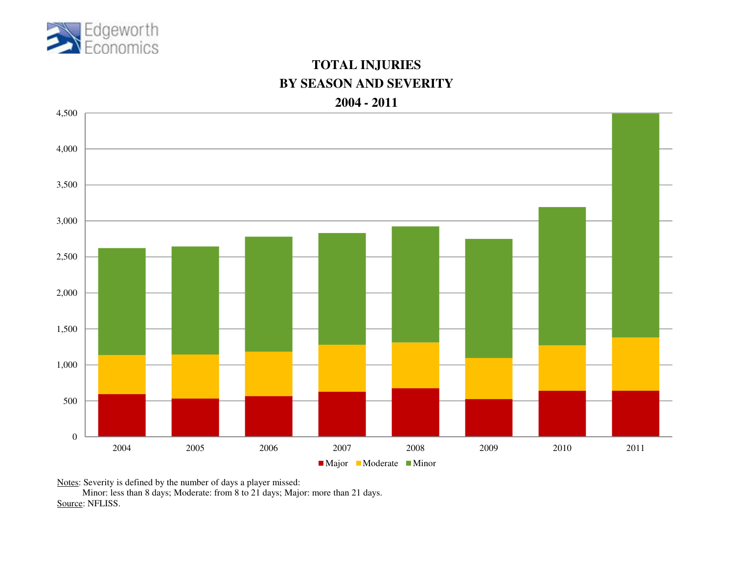

## **TOTAL INJURIESBY SEASON AND SEVERITY**



Notes: Severity is defined by the number of days a player missed:

 Minor: less than 8 days; Moderate: from 8 to 21 days; Major: more than 21 days.Source: NFLISS.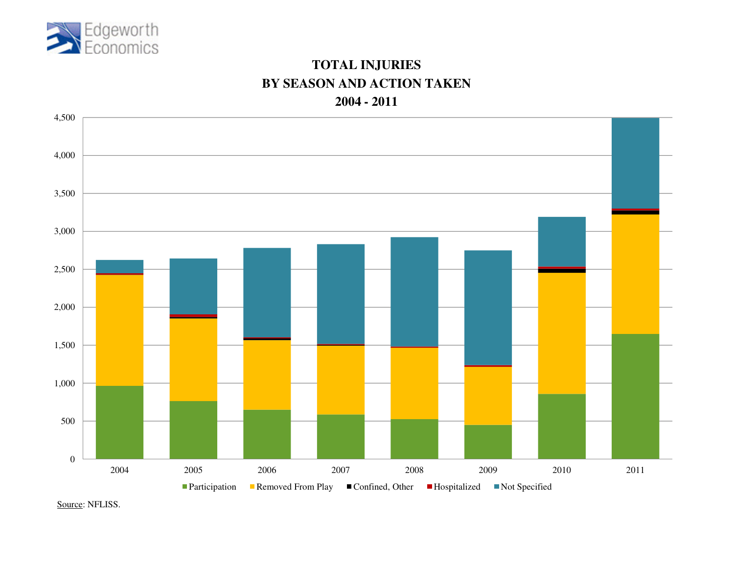

### **TOTAL INJURIES BY SEASON AND ACTION TAKEN2004 - 2011**

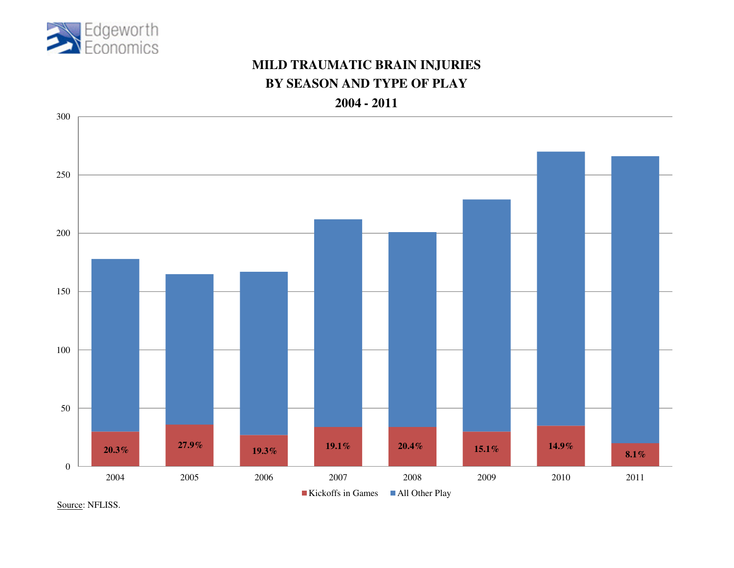

### **MILD TRAUMATIC BRAIN INJURIESBY SEASON AND TYPE OF PLAY**

**2004 - 2011**

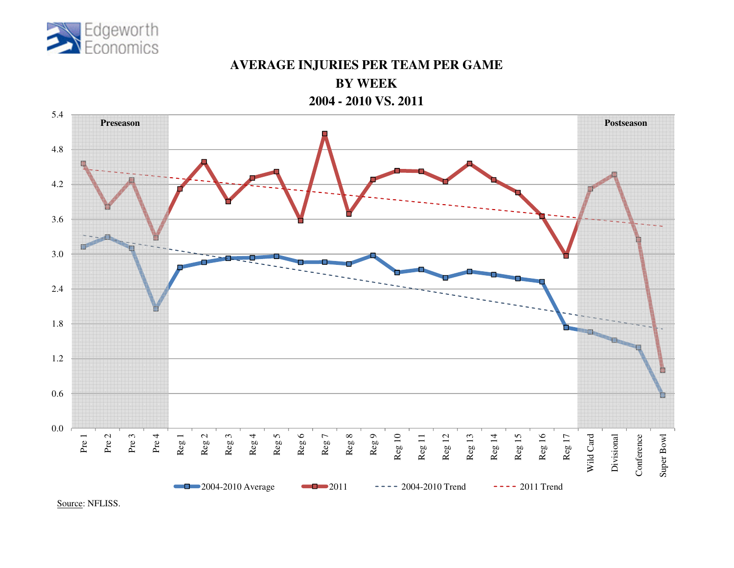

### **AVERAGE INJURIES PER TEAM PER GAME**

**BY WEEK**

**2004 - 2010 VS. 2011**

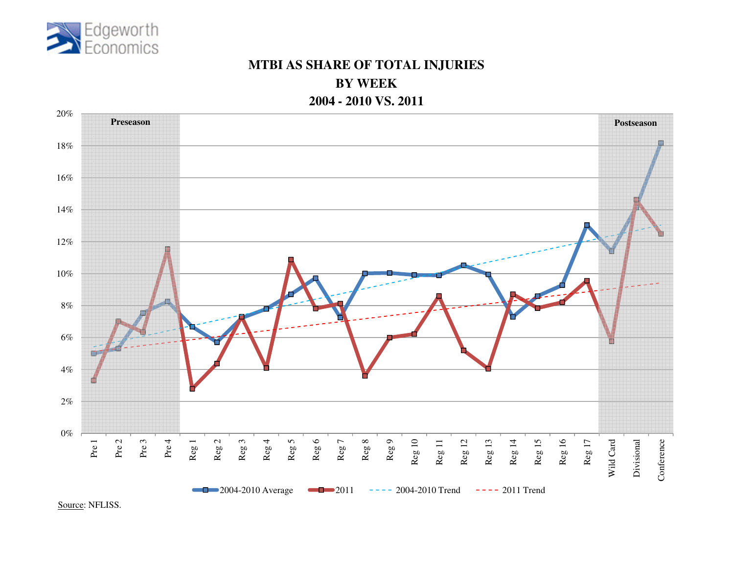

# **MTBI AS SHARE OF TOTAL INJURIES**

**BY WEEK**

**2004 - 2010 VS. 2011**